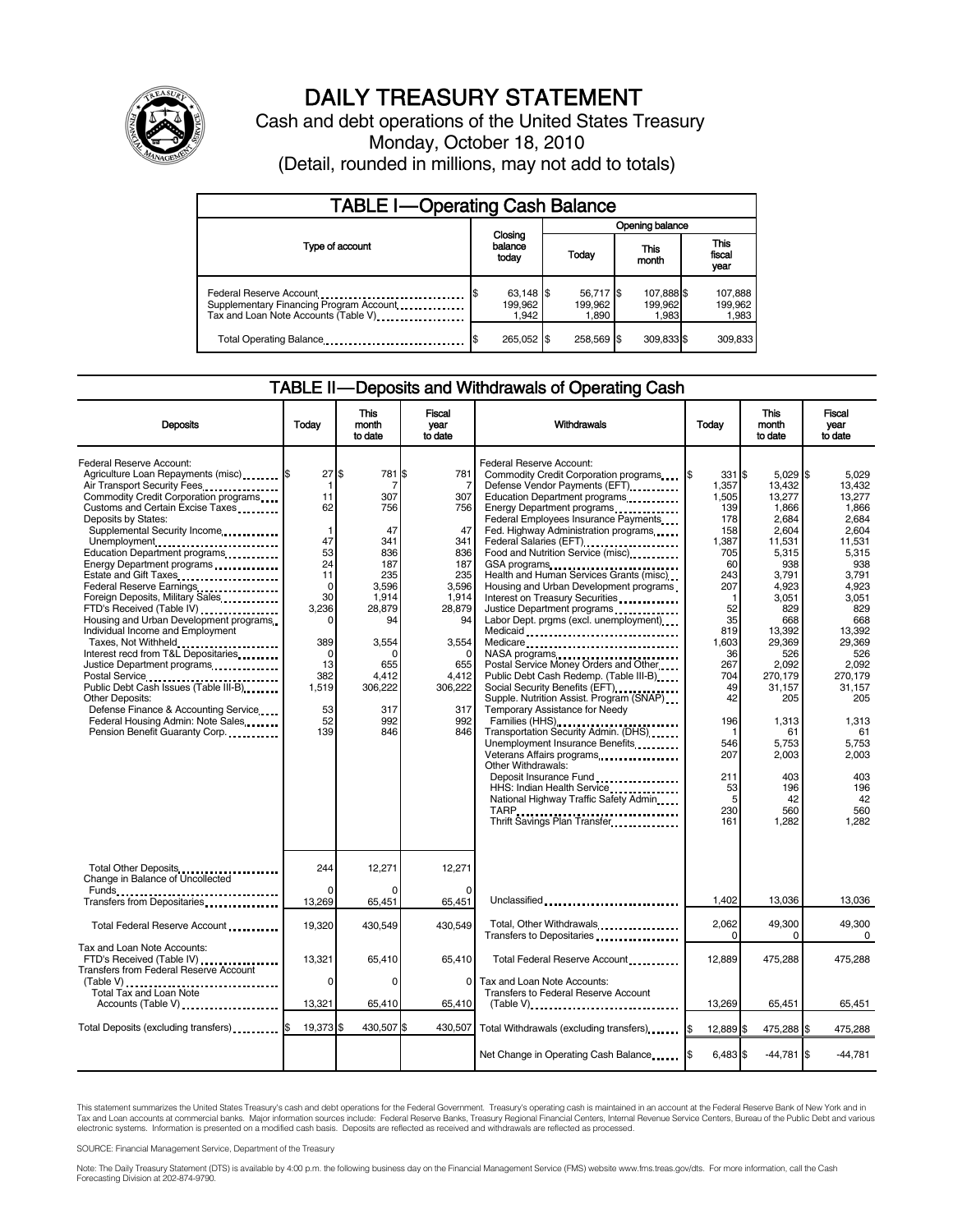

# DAILY TREASURY STATEMENT

Cash and debt operations of the United States Treasury Monday, October 18, 2010 (Detail, rounded in millions, may not add to totals)

| <b>TABLE I-Operating Cash Balance</b>                                                                      |                               |                               |                                |                               |  |  |  |
|------------------------------------------------------------------------------------------------------------|-------------------------------|-------------------------------|--------------------------------|-------------------------------|--|--|--|
|                                                                                                            |                               | Opening balance               |                                |                               |  |  |  |
| Type of account                                                                                            | Closing<br>balance<br>today   | Today                         | <b>This</b><br>month           | <b>This</b><br>fiscal<br>year |  |  |  |
| Federal Reserve Account<br>Supplementary Financing Program Account<br>Tax and Loan Note Accounts (Table V) | 63,148 \$<br>199.962<br>1.942 | 56,717 \$<br>199.962<br>1,890 | 107,888 \$<br>199,962<br>1,983 | 107,888<br>199,962<br>1,983   |  |  |  |
| Total Operating Balance                                                                                    | 265,052 \$                    | 258,569                       | 309,833 \$                     | 309,833                       |  |  |  |

## TABLE II-Deposits and Withdrawals of Operating Cash

| <b>Deposits</b>                                                                                                                                                                                                                                                                                                                                                                                                                                                                                                                                                                                                                                                                                                                                                                                 | Todav                                                                                                                                                       | This<br>month<br>to date                                                                                                                                                | Fiscal<br>year<br>to date                                                                                                                                       | Withdrawals                                                                                                                                                                                                                                                                                                                                                                                                                                                                                                                                                                                                                                                                                                                                                                                                                                                                                                                                                                                            | Todav                                                                                                                                                                                                                  | <b>This</b><br>month<br>to date                                                                                                                                                                                                                                  | Fiscal<br>year<br>to date                                                                                                                                                                                                                                    |
|-------------------------------------------------------------------------------------------------------------------------------------------------------------------------------------------------------------------------------------------------------------------------------------------------------------------------------------------------------------------------------------------------------------------------------------------------------------------------------------------------------------------------------------------------------------------------------------------------------------------------------------------------------------------------------------------------------------------------------------------------------------------------------------------------|-------------------------------------------------------------------------------------------------------------------------------------------------------------|-------------------------------------------------------------------------------------------------------------------------------------------------------------------------|-----------------------------------------------------------------------------------------------------------------------------------------------------------------|--------------------------------------------------------------------------------------------------------------------------------------------------------------------------------------------------------------------------------------------------------------------------------------------------------------------------------------------------------------------------------------------------------------------------------------------------------------------------------------------------------------------------------------------------------------------------------------------------------------------------------------------------------------------------------------------------------------------------------------------------------------------------------------------------------------------------------------------------------------------------------------------------------------------------------------------------------------------------------------------------------|------------------------------------------------------------------------------------------------------------------------------------------------------------------------------------------------------------------------|------------------------------------------------------------------------------------------------------------------------------------------------------------------------------------------------------------------------------------------------------------------|--------------------------------------------------------------------------------------------------------------------------------------------------------------------------------------------------------------------------------------------------------------|
| Federal Reserve Account:<br>Agriculture Loan Repayments (misc) \$<br>Air Transport Security Fees<br>Commodity Credit Corporation programs<br>Customs and Certain Excise Taxes<br>Deposits by States:<br>Supplemental Security Income<br>Unemployment<br>Education Department programs<br>Energy Department programs<br>Estate and Gift Taxes<br>Federal Reserve Earnings<br>Foreign Deposits, Military Sales<br>FTD's Received (Table IV)<br>Housing and Urban Development programs<br>Individual Income and Employment<br>Taxes, Not Withheld<br>Interest recd from T&L Depositaries<br>Justice Department programs<br>Public Debt Cash Issues (Table III-B)<br>Other Deposits:<br>Defense Finance & Accounting Service<br>Federal Housing Admin: Note Sales<br>Pension Benefit Guaranty Corp. | 27<br>-1<br>11<br>62<br>$\mathbf{1}$<br>47<br>53<br>24<br>11<br>$\mathbf 0$<br>30<br>3.236<br>O<br>389<br>$\Omega$<br>13<br>382<br>1,519<br>53<br>52<br>139 | \$<br>781 <sup>\$</sup><br>7<br>307<br>756<br>47<br>341<br>836<br>187<br>235<br>3,596<br>1,914<br>28,879<br>94<br>3,554<br>655<br>4.412<br>306,222<br>317<br>992<br>846 | 781<br>7<br>307<br>756<br>47<br>341<br>836<br>187<br>235<br>3,596<br>1,914<br>28,879<br>94<br>3,554<br>$\Omega$<br>655<br>4.412<br>306,222<br>317<br>992<br>846 | Federal Reserve Account:<br>Commodity Credit Corporation programs<br>Defense Vendor Payments (EFT)<br>Education Department programs<br>Energy Department programs<br><br>Federal Employees Insurance Payments<br>Fed. Highway Administration programs<br>Federal Salaries (EFT)<br>Food and Nutrition Service (misc).<br>GSA programs<br>Health and Human Services Grants (misc)<br>Housing and Urban Development programs<br>Interest on Treasury Securities<br>Justice Department programs<br>Labor Dept. prgms (excl. unemployment)<br>Medicaid<br>Medicare<br>NASA programs<br>Postal Service Money Orders and Other<br>Public Debt Cash Redemp. (Table III-B)<br>Social Security Benefits (EFT)<br>Supple. Nutrition Assist. Program (SNAP)<br>Temporary Assistance for Needy<br>Families (HHS)<br>Transportation Security Admin. (DHS)<br>Unemployment Insurance Benefits<br>Other Withdrawals:<br>Deposit Insurance Fund<br>HHS: Indian Health Service<br>National Highway Traffic Safety Admin | 331 \$<br>1,357<br>1,505<br>139<br>178<br>158<br>1,387<br>705<br>60<br>243<br>207<br>$\mathbf 1$<br>52<br>35<br>819<br>1,603<br>36<br>267<br>704<br>49<br>42<br>196<br>1<br>546<br>207<br>211<br>53<br>5<br>230<br>161 | $5.029$ S<br>13,432<br>13,277<br>1,866<br>2,684<br>2,604<br>11,531<br>5,315<br>938<br>3,791<br>4,923<br>3,051<br>829<br>668<br>13,392<br>29,369<br>526<br>2,092<br>270.179<br>31,157<br>205<br>1,313<br>61<br>5,753<br>2,003<br>403<br>196<br>42<br>560<br>1,282 | 5.029<br>13,432<br>13,277<br>1.866<br>2,684<br>2.604<br>11.531<br>5,315<br>938<br>3,791<br>4.923<br>3.051<br>829<br>668<br>13,392<br>29.369<br>526<br>2.092<br>270.179<br>31,157<br>205<br>1,313<br>61<br>5,753<br>2.003<br>403<br>196<br>42<br>560<br>1.282 |
| Total Other Deposits<br>Change in Balance of Uncollected                                                                                                                                                                                                                                                                                                                                                                                                                                                                                                                                                                                                                                                                                                                                        | 244                                                                                                                                                         | 12,271                                                                                                                                                                  | 12,271                                                                                                                                                          |                                                                                                                                                                                                                                                                                                                                                                                                                                                                                                                                                                                                                                                                                                                                                                                                                                                                                                                                                                                                        |                                                                                                                                                                                                                        |                                                                                                                                                                                                                                                                  |                                                                                                                                                                                                                                                              |
|                                                                                                                                                                                                                                                                                                                                                                                                                                                                                                                                                                                                                                                                                                                                                                                                 | 13,269                                                                                                                                                      | 65,451                                                                                                                                                                  | 65,451                                                                                                                                                          | Unclassified                                                                                                                                                                                                                                                                                                                                                                                                                                                                                                                                                                                                                                                                                                                                                                                                                                                                                                                                                                                           | 1,402                                                                                                                                                                                                                  | 13,036                                                                                                                                                                                                                                                           | 13,036                                                                                                                                                                                                                                                       |
| Total Federal Reserve Account                                                                                                                                                                                                                                                                                                                                                                                                                                                                                                                                                                                                                                                                                                                                                                   | 19,320                                                                                                                                                      | 430,549                                                                                                                                                                 | 430.549                                                                                                                                                         | Total, Other Withdrawals<br>Transfers to Depositaries                                                                                                                                                                                                                                                                                                                                                                                                                                                                                                                                                                                                                                                                                                                                                                                                                                                                                                                                                  | 2,062<br>0                                                                                                                                                                                                             | 49,300<br>$\Omega$                                                                                                                                                                                                                                               | 49,300<br>$\Omega$                                                                                                                                                                                                                                           |
| Tax and Loan Note Accounts:<br>FTD's Received (Table IV)<br><b>Transfers from Federal Reserve Account</b>                                                                                                                                                                                                                                                                                                                                                                                                                                                                                                                                                                                                                                                                                       | 13,321                                                                                                                                                      | 65.410                                                                                                                                                                  | 65,410                                                                                                                                                          | Total Federal Reserve Account                                                                                                                                                                                                                                                                                                                                                                                                                                                                                                                                                                                                                                                                                                                                                                                                                                                                                                                                                                          | 12.889                                                                                                                                                                                                                 | 475,288                                                                                                                                                                                                                                                          | 475,288                                                                                                                                                                                                                                                      |
| $(Table V)$<br>Total Tax and Loan Note<br>Accounts (Table V)                                                                                                                                                                                                                                                                                                                                                                                                                                                                                                                                                                                                                                                                                                                                    | $\mathbf 0$<br>13,321                                                                                                                                       | $\Omega$<br>65,410                                                                                                                                                      | $\mathbf 0$<br>65,410                                                                                                                                           | Tax and Loan Note Accounts:<br>Transfers to Federal Reserve Account<br>$(Table V)$                                                                                                                                                                                                                                                                                                                                                                                                                                                                                                                                                                                                                                                                                                                                                                                                                                                                                                                     | 13,269                                                                                                                                                                                                                 | 65,451                                                                                                                                                                                                                                                           | 65,451                                                                                                                                                                                                                                                       |
| Total Deposits (excluding transfers) \$                                                                                                                                                                                                                                                                                                                                                                                                                                                                                                                                                                                                                                                                                                                                                         | 19,373 \$                                                                                                                                                   | 430,507\$                                                                                                                                                               | 430,507                                                                                                                                                         |                                                                                                                                                                                                                                                                                                                                                                                                                                                                                                                                                                                                                                                                                                                                                                                                                                                                                                                                                                                                        | 12,889 \$                                                                                                                                                                                                              | 475,288 \$                                                                                                                                                                                                                                                       | 475,288                                                                                                                                                                                                                                                      |
|                                                                                                                                                                                                                                                                                                                                                                                                                                                                                                                                                                                                                                                                                                                                                                                                 |                                                                                                                                                             |                                                                                                                                                                         |                                                                                                                                                                 | Net Change in Operating Cash Balance                                                                                                                                                                                                                                                                                                                                                                                                                                                                                                                                                                                                                                                                                                                                                                                                                                                                                                                                                                   | 6,483 \$                                                                                                                                                                                                               | $-44,781$ \$                                                                                                                                                                                                                                                     | $-44,781$                                                                                                                                                                                                                                                    |

This statement summarizes the United States Treasury's cash and debt operations for the Federal Government. Treasury's operating cash is maintained in an account at the Federal Reserve Bank of New York and in<br>Tax and Loan

SOURCE: Financial Management Service, Department of the Treasury

Note: The Daily Treasury Statement (DTS) is available by 4:00 p.m. the following business day on the Financial Management Service (FMS) website www.fms.treas.gov/dts. For more information, call the Cash<br>Forecasting Divisio